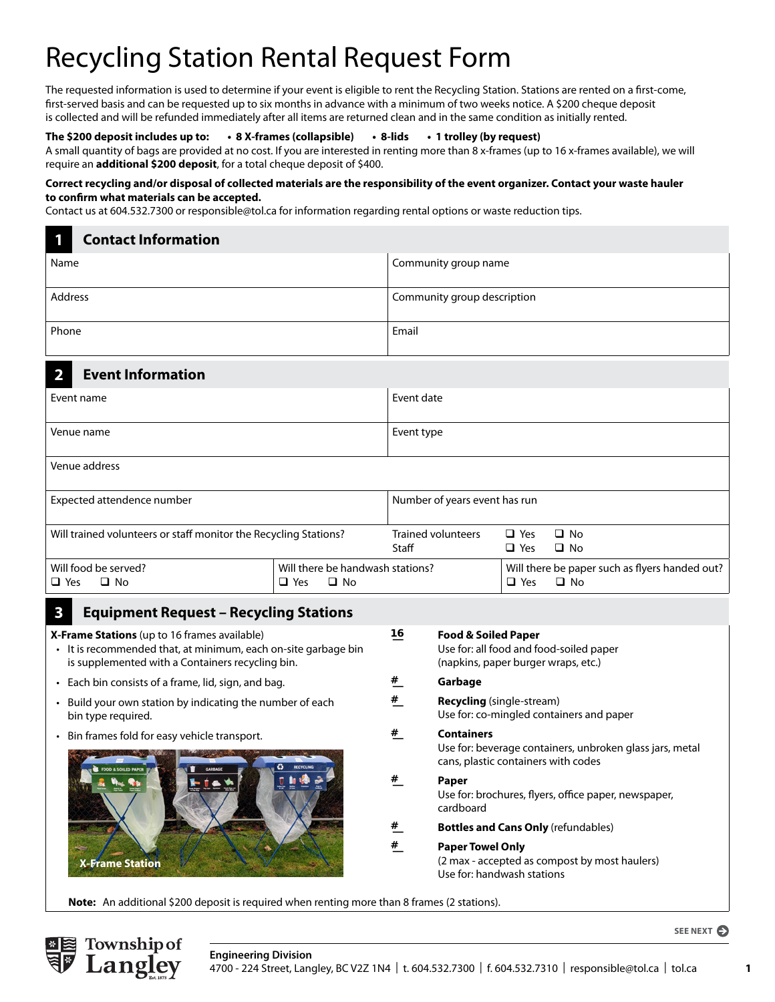# Recycling Station Rental Request Form

The requested information is used to determine if your event is eligible to rent the Recycling Station. Stations are rented on a first-come, first-served basis and can be requested up to six months in advance with a minimum of two weeks notice. A \$200 cheque deposit is collected and will be refunded immediately after all items are returned clean and in the same condition as initially rented.

### **The \$200 deposit includes up to: • 8 X-frames (collapsible) • 8-lids • 1 trolley (by request)**

A small quantity of bags are provided at no cost. If you are interested in renting more than 8 x-frames (up to 16 x-frames available), we will require an **additional \$200 deposit**, for a total cheque deposit of \$400.

#### **Correct recycling and/or disposal of collected materials are the responsibility of the event organizer. Contact your waste hauler to confirm what materials can be accepted.**

Contact us at 604.532.7300 or responsible@tol.ca for information regarding rental options or waste reduction tips.

# **1 Contact Information** Name Community group name Community group name Address **Address** Community group description Phone **Email**

### **2 Event Information**

| Event name    | Event date |
|---------------|------------|
| Venue name    | Event type |
| Venue address |            |

| Expected attendence number                                       |                                                                | Number of years event has run |                     |                                                             |
|------------------------------------------------------------------|----------------------------------------------------------------|-------------------------------|---------------------|-------------------------------------------------------------|
| Will trained volunteers or staff monitor the Recycling Stations? |                                                                | Trained volunteers<br>Staff   | □ Yes<br>$\Box$ Yes | □ No<br>$\Box$ No                                           |
| Will food be served?<br>$\Box$ No<br>∣□ Yes                      | Will there be handwash stations?<br>$\square$ No<br>$\Box$ Yes |                               | $\Box$ Yes          | Will there be paper such as flyers handed out?<br>$\Box$ No |

## **3 Equipment Request – Recycling Stations**

**X-Frame Stations** (up to 16 frames available)

- It is recommended that, at minimum, each on-site garbage bin is supplemented with a Containers recycling bin.
- Each bin consists of a frame, lid, sign, and bag.
- Build your own station by indicating the number of each bin type required.
- Bin frames fold for easy vehicle transport.



| 16            | Food & Soiled Paper<br>Use for: all food and food-soiled paper<br>(napkins, paper burger wraps, etc.)                |
|---------------|----------------------------------------------------------------------------------------------------------------------|
| #             | Garbage                                                                                                              |
| #             | <b>Recycling</b> (single-stream)<br>Use for: co-mingled containers and paper                                         |
| #             | <b>Containers</b><br>Use for: beverage containers, unbroken glass jars, metal<br>cans, plastic containers with codes |
| #             | Paper<br>Use for: brochures, flyers, office paper, newspaper,<br>cardboard                                           |
| $\frac{H}{2}$ | <b>Bottles and Cans Only</b> (refundables)                                                                           |
| #             | <b>Paper Towel Only</b><br>(2 max - accepted as compost by most haulers)<br>Use for: handwash stations               |

**Note:** An additional \$200 deposit is required when renting more than 8 frames (2 stations).



**SEE NEXT**